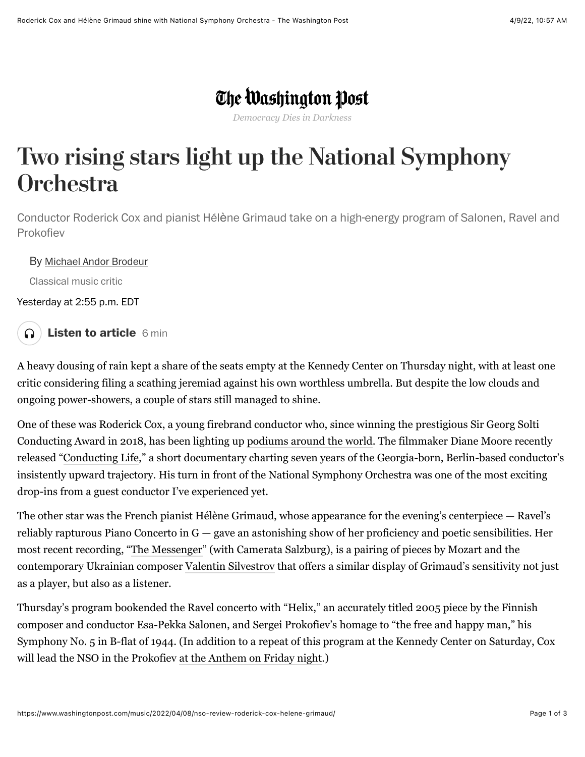## The Washington Post

*Democracy Dies in Darkness*

## **Two rising stars light up the National Symphony Orchestra**

Conductor Roderick Cox and pianist Hélène Grimaud take on a high-energy program of Salonen, Ravel and Prokofiev

By [Michael Andor Brodeur](https://www.washingtonpost.com/people/michael-brodeur/)

Classical music critic

Yesterday at 2:55 p.m. EDT

**Listen to article** 6 min  $\Omega$ 

A heavy dousing of rain kept a share of the seats empty at the Kennedy Center on Thursday night, with at least one critic considering filing a scathing jeremiad against his own worthless umbrella. But despite the low clouds and ongoing power-showers, a couple of stars still managed to shine.

One of these was Roderick Cox, a young firebrand conductor who, since winning the prestigious Sir Georg Solti Conducting Award in 2018, has been lighting up [podiums around the world](http://www.roderickcox.com/performances-1). The filmmaker Diane Moore recently released ["Conducting Life](https://conductinglife.com/#trailer)," a short documentary charting seven years of the Georgia-born, Berlin-based conductor's insistently upward trajectory. His turn in front of the National Symphony Orchestra was one of the most exciting drop-ins from a guest conductor I've experienced yet.

The other star was the French pianist Hélène Grimaud, whose appearance for the evening's centerpiece — Ravel's reliably rapturous Piano Concerto in G — gave an astonishing show of her proficiency and poetic sensibilities. Her most recent recording, ["The Messenger"](https://www.deutschegrammophon.com/en/catalogue/products/the-messenger-helene-grimaud-12064) (with Camerata Salzburg), is a pairing of pieces by Mozart and the contemporary Ukrainian composer [Valentin Silvestrov](https://www.youtube.com/watch?v=HYoauPJil70) that offers a similar display of Grimaud's sensitivity not just as a player, but also as a listener.

Thursday's program bookended the Ravel concerto with "Helix," an accurately titled 2005 piece by the Finnish composer and conductor Esa-Pekka Salonen, and Sergei Prokofiev's homage to "the free and happy man," his Symphony No. 5 in B-flat of 1944. (In addition to a repeat of this program at the Kennedy Center on Saturday, Cox will lead the NSO in the Prokofiev [at the Anthem on Friday night](https://www.kennedy-center.org/nso/home/2021-2022/nso-anthem-prokofievs-symphony-no5/).)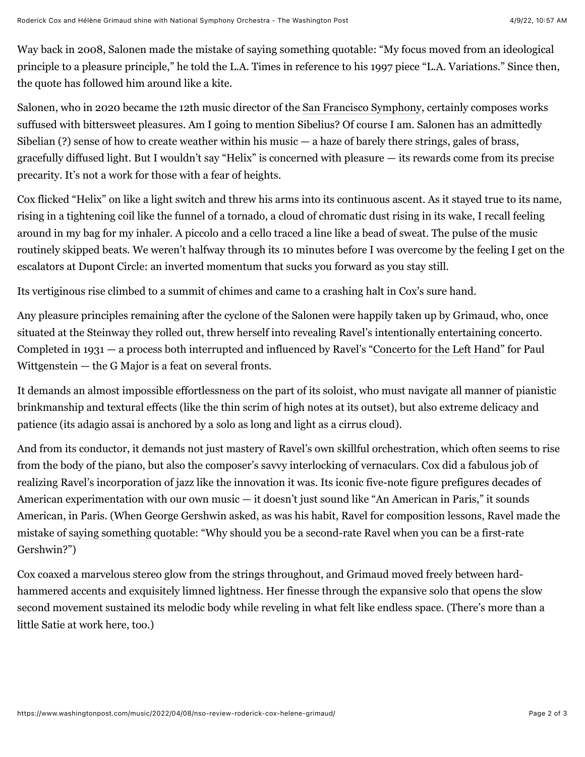Way back in 2008, Salonen made the mistake of saying something quotable: "My focus moved from an ideological principle to a pleasure principle," he told the L.A. Times in reference to his 1997 piece "L.A. Variations." Since then, the quote has followed him around like a kite.

Salonen, who in 2020 became the 12th music director of the [San Francisco Symphony](https://www.sfsymphony.org/About-SFS/Conducting-Staff/Esa-Pekka-Salonen), certainly composes works suffused with bittersweet pleasures. Am I going to mention Sibelius? Of course I am. Salonen has an admittedly Sibelian  $(?)$  sense of how to create weather within his music  $-$  a haze of barely there strings, gales of brass, gracefully diffused light. But I wouldn't say "Helix" is concerned with pleasure — its rewards come from its precise precarity. It's not a work for those with a fear of heights.

Cox flicked "Helix" on like a light switch and threw his arms into its continuous ascent. As it stayed true to its name, rising in a tightening coil like the funnel of a tornado, a cloud of chromatic dust rising in its wake, I recall feeling around in my bag for my inhaler. A piccolo and a cello traced a line like a bead of sweat. The pulse of the music routinely skipped beats. We weren't halfway through its 10 minutes before I was overcome by the feeling I get on the escalators at Dupont Circle: an inverted momentum that sucks you forward as you stay still.

Its vertiginous rise climbed to a summit of chimes and came to a crashing halt in Cox's sure hand.

Any pleasure principles remaining after the cyclone of the Salonen were happily taken up by Grimaud, who, once situated at the Steinway they rolled out, threw herself into revealing Ravel's intentionally entertaining concerto. Completed in 1931 — a process both interrupted and influenced by Ravel's "[Concerto for the Left Hand"](https://www.youtube.com/watch?v=FI7tnBmGnq4) for Paul Wittgenstein — the G Major is a feat on several fronts.

It demands an almost impossible effortlessness on the part of its soloist, who must navigate all manner of pianistic brinkmanship and textural effects (like the thin scrim of high notes at its outset), but also extreme delicacy and patience (its adagio assai is anchored by a solo as long and light as a cirrus cloud).

And from its conductor, it demands not just mastery of Ravel's own skillful orchestration, which often seems to rise from the body of the piano, but also the composer's savvy interlocking of vernaculars. Cox did a fabulous job of realizing Ravel's incorporation of jazz like the innovation it was. Its iconic five-note figure prefigures decades of American experimentation with our own music — it doesn't just sound like "An American in Paris," it sounds American, in Paris. (When George Gershwin asked, as was his habit, Ravel for composition lessons, Ravel made the mistake [of saying something quotable](https://www.theatlantic.com/magazine/archive/1998/10/misunderstanding-gershwin/377252/): "Why should you be a second-rate Ravel when you can be a first-rate Gershwin?")

Cox coaxed a marvelous stereo glow from the strings throughout, and Grimaud moved freely between hardhammered accents and exquisitely limned lightness. Her finesse through the expansive solo that opens the slow second movement sustained its melodic body while reveling in what felt like endless space. (There's more than a little Satie at work here, too.)